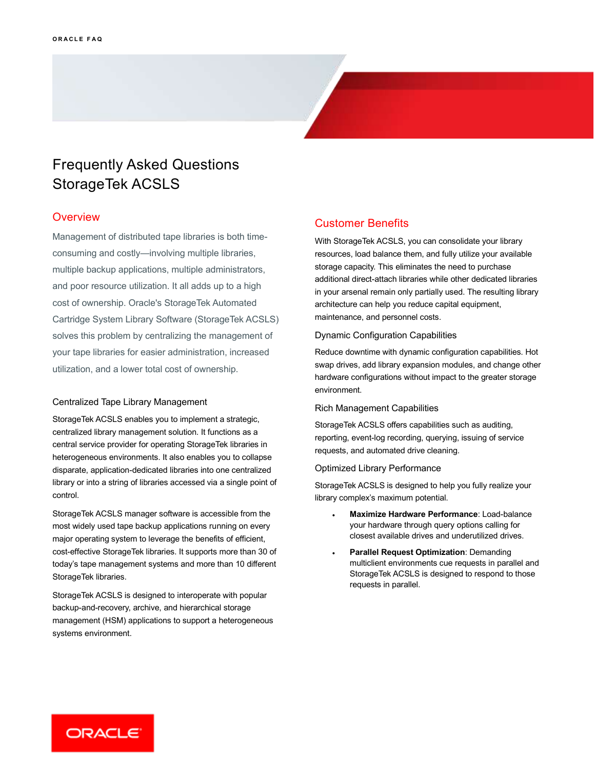# Frequently Asked Questions StorageTek ACSLS

### **Overview**

 Management of distributed tape libraries is both time- cost of ownership. Oracle's StorageTek Automated Cartridge System Library Software (StorageTek ACSLS) solves this problem by centralizing the management of your tape libraries for easier administration, increased utilization, and a lower total cost of ownership. consuming and costly—involving multiple libraries, multiple backup applications, multiple administrators, and poor resource utilization. It all adds up to a high

#### Centralized Tape Library Management

 StorageTek ACSLS enables you to implement a strategic, centralized library management solution. It functions as a central service provider for operating StorageTek libraries in heterogeneous environments. It also enables you to collapse disparate, application-dedicated libraries into one centralized library or into a string of libraries accessed via a single point of control.

 StorageTek ACSLS manager software is accessible from the most widely used tape backup applications running on every major operating system to leverage the benefits of efficient, cost-effective StorageTek libraries. It supports more than 30 of today's tape management systems and more than 10 different StorageTek libraries.

 StorageTek ACSLS is designed to interoperate with popular backup-and-recovery, archive, and hierarchical storage management (HSM) applications to support a heterogeneous systems environment.

## Customer Benefits

 With StorageTek ACSLS, you can consolidate your library resources, load balance them, and fully utilize your available storage capacity. This eliminates the need to purchase additional direct-attach libraries while other dedicated libraries in your arsenal remain only partially used. The resulting library architecture can help you reduce capital equipment, maintenance, and personnel costs.

#### Dynamic Configuration Capabilities

 Reduce downtime with dynamic configuration capabilities. Hot swap drives, add library expansion modules, and change other hardware configurations without impact to the greater storage environment.

#### Rich Management Capabilities

 StorageTek ACSLS offers capabilities such as auditing, reporting, event-log recording, querying, issuing of service requests, and automated drive cleaning.

#### Optimized Library Performance

 StorageTek ACSLS is designed to help you fully realize your library complex's maximum potential.

- **Maximize Hardware Performance**: Load-balance your hardware through query options calling for closest available drives and underutilized drives.
- **Parallel Request Optimization**: Demanding multiclient environments cue requests in parallel and StorageTek ACSLS is designed to respond to those requests in parallel.

ORACLE<sup>®</sup>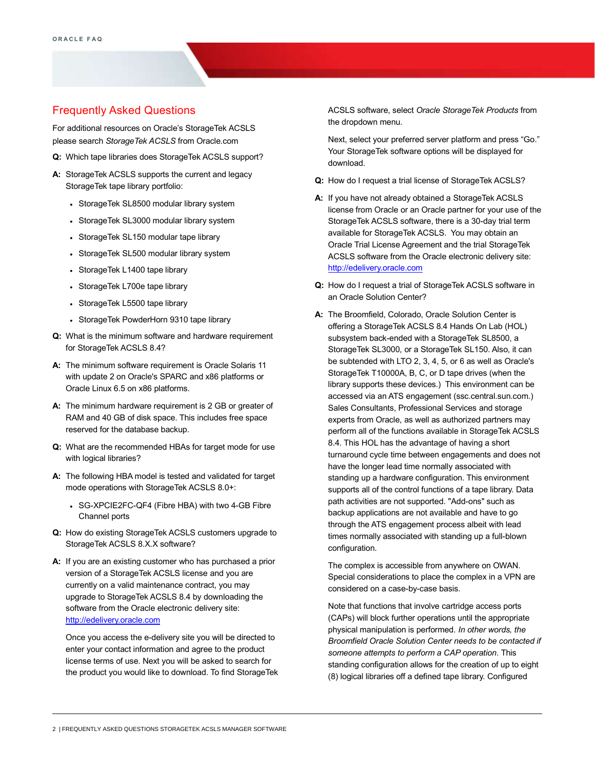# Frequently Asked Questions

 For additional resources on Oracle's StorageTek ACSLS please search *StorageTek ACSLS* from Oracle.com

- **Q:** Which tape libraries does StorageTek ACSLS support?
- A: StorageTek ACSLS supports the current and legacy StorageTek tape library portfolio:
	- StorageTek SL8500 modular library system
	- StorageTek SL3000 modular library system
	- StorageTek SL150 modular tape library
	- StorageTek SL500 modular library system
	- StorageTek L1400 tape library
	- StorageTek L700e tape library
	- StorageTek L5500 tape library
	- StorageTek PowderHorn 9310 tape library
- **Q:** What is the minimum software and hardware requirement for StorageTek ACSLS 8.4?
- **A:** The minimum software requirement is Oracle Solaris 11 with update 2 on Oracle's SPARC and x86 platforms or Oracle Linux 6.5 on x86 platforms.
- **A:** The minimum hardware requirement is 2 GB or greater of RAM and 40 GB of disk space. This includes free space reserved for the database backup.
- **Q:** What are the recommended HBAs for target mode for use with logical libraries?
- **A:** The following HBA model is tested and validated for target mode operations with StorageTek ACSLS 8.0+:
	- SG-XPCIE2FC-QF4 (Fibre HBA) with two 4-GB Fibre Channel ports
- **Q:** How do existing StorageTek ACSLS customers upgrade to StorageTek ACSLS 8.X.X software?
- **A:** If you are an existing customer who has purchased a prior version of a StorageTek ACSLS license and you are currently on a valid maintenance contract, you may upgrade to StorageTek ACSLS 8.4 by downloading the software from the Oracle electronic delivery site: [http://edelivery.oracle.com](http://edelivery.oracle.com/)

 Once you access the e-delivery site you will be directed to enter your contact information and agree to the product license terms of use. Next you will be asked to search for the product you would like to download. To find StorageTek  ACSLS software, select *Oracle StorageTek Products* from the dropdown menu.

 Next, select your preferred server platform and press "Go." Your StorageTek software options will be displayed for download.

- **Q:** How do I request a trial license of StorageTek ACSLS?
- **A:** If you have not already obtained a StorageTek ACSLS license from Oracle or an Oracle partner for your use of the StorageTek ACSLS software, there is a 30-day trial term available for StorageTek ACSLS. You may obtain an Oracle Trial License Agreement and the trial StorageTek ACSLS software from the Oracle electronic delivery site: [http://edelivery.oracle.com](http://edelivery.oracle.com/)
- **Q:** How do I request a trial of StorageTek ACSLS software in an Oracle Solution Center?
- **A:** The Broomfield, Colorado, Oracle Solution Center is offering a StorageTek ACSLS 8.4 Hands On Lab (HOL) subsystem back-ended with a StorageTek SL8500, a StorageTek SL3000, or a StorageTek SL150. Also, it can be subtended with LTO 2, 3, 4, 5, or 6 as well as Oracle's StorageTek T10000A, B, C, or D tape drives (when the library supports these devices.) This environment can be accessed via an ATS engagement (ssc.central.sun.com.) Sales Consultants, Professional Services and storage experts from Oracle, as well as authorized partners may perform all of the functions available in StorageTek ACSLS 8.4. This HOL has the advantage of having a short turnaround cycle time between engagements and does not have the longer lead time normally associated with standing up a hardware configuration. This environment supports all of the control functions of a tape library. Data path activities are not supported. "Add-ons" such as backup applications are not available and have to go through the ATS engagement process albeit with lead times normally associated with standing up a full-blown configuration.

 The complex is accessible from anywhere on OWAN. Special considerations to place the complex in a VPN are considered on a case-by-case basis.

 Note that functions that involve cartridge access ports (CAPs) will block further operations until the appropriate physical manipulation is performed*. In other words, the Broomfield Oracle Solution Center needs to be contacted if someone attempts to perform a CAP operation*. This standing configuration allows for the creation of up to eight (8) logical libraries off a defined tape library. Configured